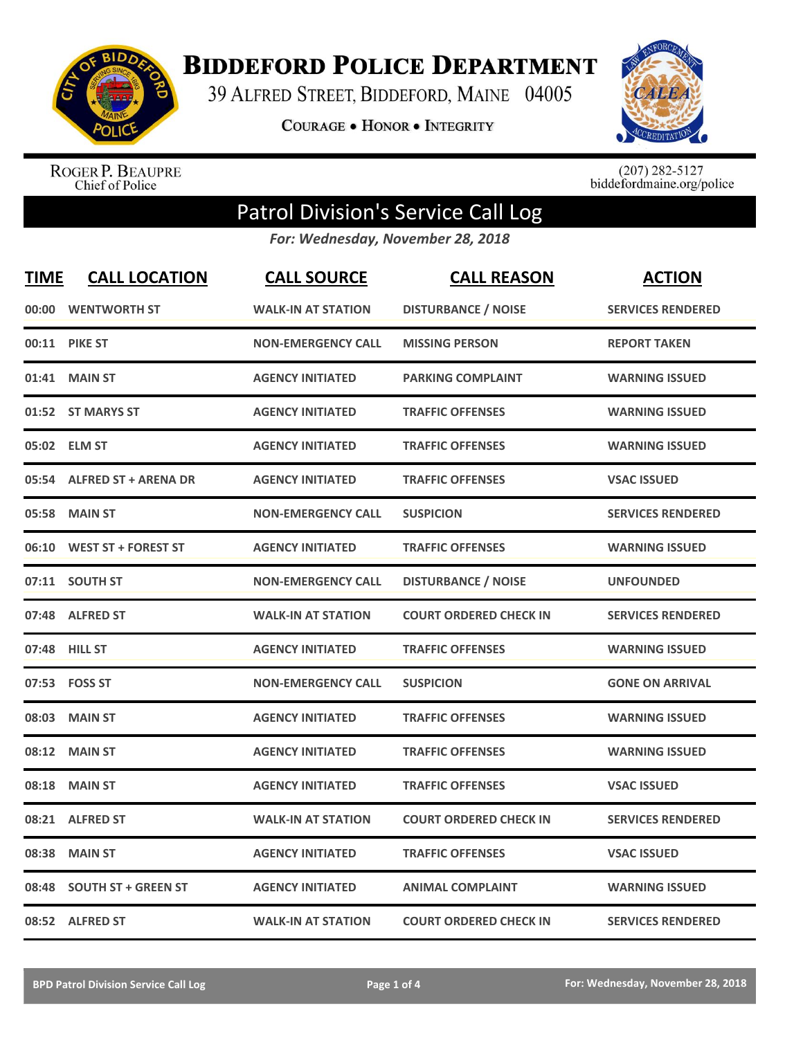

**BIDDEFORD POLICE DEPARTMENT** 

39 ALFRED STREET, BIDDEFORD, MAINE 04005

**COURAGE . HONOR . INTEGRITY** 



ROGER P. BEAUPRE<br>Chief of Police

 $(207)$  282-5127<br>biddefordmaine.org/police

## Patrol Division's Service Call Log

*For: Wednesday, November 28, 2018*

| <b>TIME</b> | <b>CALL LOCATION</b>        | <b>CALL SOURCE</b>        | <b>CALL REASON</b>            | <b>ACTION</b>            |
|-------------|-----------------------------|---------------------------|-------------------------------|--------------------------|
| 00:00       | <b>WENTWORTH ST</b>         | <b>WALK-IN AT STATION</b> | <b>DISTURBANCE / NOISE</b>    | <b>SERVICES RENDERED</b> |
|             | <b>00:11 PIKE ST</b>        | <b>NON-EMERGENCY CALL</b> | <b>MISSING PERSON</b>         | <b>REPORT TAKEN</b>      |
|             | 01:41 MAIN ST               | <b>AGENCY INITIATED</b>   | <b>PARKING COMPLAINT</b>      | <b>WARNING ISSUED</b>    |
|             | 01:52 ST MARYS ST           | <b>AGENCY INITIATED</b>   | <b>TRAFFIC OFFENSES</b>       | <b>WARNING ISSUED</b>    |
| 05:02       | <b>ELM ST</b>               | <b>AGENCY INITIATED</b>   | <b>TRAFFIC OFFENSES</b>       | <b>WARNING ISSUED</b>    |
| 05:54       | <b>ALFRED ST + ARENA DR</b> | <b>AGENCY INITIATED</b>   | <b>TRAFFIC OFFENSES</b>       | <b>VSAC ISSUED</b>       |
| 05:58       | <b>MAIN ST</b>              | <b>NON-EMERGENCY CALL</b> | <b>SUSPICION</b>              | <b>SERVICES RENDERED</b> |
| 06:10       | <b>WEST ST + FOREST ST</b>  | <b>AGENCY INITIATED</b>   | <b>TRAFFIC OFFENSES</b>       | <b>WARNING ISSUED</b>    |
|             | 07:11 SOUTH ST              | <b>NON-EMERGENCY CALL</b> | <b>DISTURBANCE / NOISE</b>    | <b>UNFOUNDED</b>         |
| 07:48       | <b>ALFRED ST</b>            | <b>WALK-IN AT STATION</b> | <b>COURT ORDERED CHECK IN</b> | <b>SERVICES RENDERED</b> |
|             | 07:48 HILL ST               | <b>AGENCY INITIATED</b>   | <b>TRAFFIC OFFENSES</b>       | <b>WARNING ISSUED</b>    |
|             | 07:53 FOSS ST               | <b>NON-EMERGENCY CALL</b> | <b>SUSPICION</b>              | <b>GONE ON ARRIVAL</b>   |
| 08:03       | <b>MAIN ST</b>              | <b>AGENCY INITIATED</b>   | <b>TRAFFIC OFFENSES</b>       | <b>WARNING ISSUED</b>    |
| 08:12       | <b>MAIN ST</b>              | <b>AGENCY INITIATED</b>   | <b>TRAFFIC OFFENSES</b>       | <b>WARNING ISSUED</b>    |
| 08:18       | <b>MAIN ST</b>              | <b>AGENCY INITIATED</b>   | <b>TRAFFIC OFFENSES</b>       | <b>VSAC ISSUED</b>       |
|             | 08:21 ALFRED ST             | <b>WALK-IN AT STATION</b> | <b>COURT ORDERED CHECK IN</b> | <b>SERVICES RENDERED</b> |
| 08:38       | <b>MAIN ST</b>              | <b>AGENCY INITIATED</b>   | <b>TRAFFIC OFFENSES</b>       | <b>VSAC ISSUED</b>       |
| 08:48       | <b>SOUTH ST + GREEN ST</b>  | <b>AGENCY INITIATED</b>   | <b>ANIMAL COMPLAINT</b>       | <b>WARNING ISSUED</b>    |
|             | 08:52 ALFRED ST             | <b>WALK-IN AT STATION</b> | <b>COURT ORDERED CHECK IN</b> | <b>SERVICES RENDERED</b> |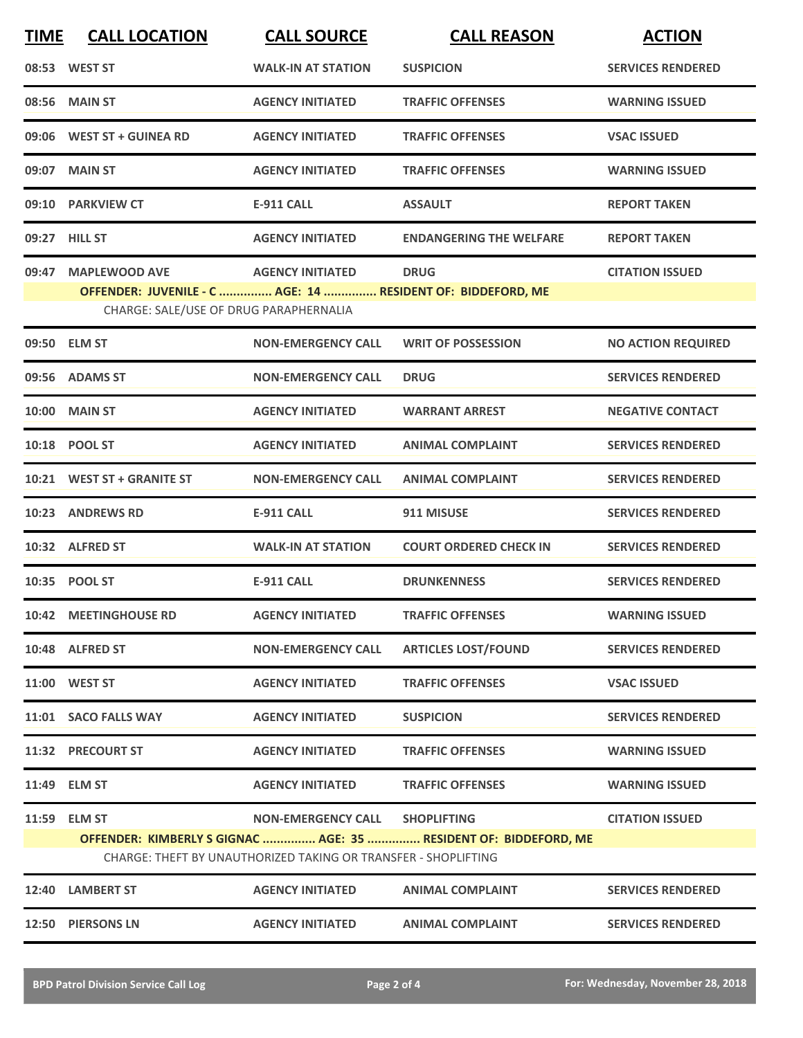| <b>TIME</b> | <b>CALL LOCATION</b>                                        | <b>CALL SOURCE</b>                                             | <b>CALL REASON</b>                                               | <b>ACTION</b>             |
|-------------|-------------------------------------------------------------|----------------------------------------------------------------|------------------------------------------------------------------|---------------------------|
|             | 08:53 WEST ST                                               | <b>WALK-IN AT STATION</b>                                      | <b>SUSPICION</b>                                                 | <b>SERVICES RENDERED</b>  |
|             | 08:56 MAIN ST                                               | <b>AGENCY INITIATED</b>                                        | <b>TRAFFIC OFFENSES</b>                                          | <b>WARNING ISSUED</b>     |
|             | 09:06 WEST ST + GUINEA RD                                   | <b>AGENCY INITIATED</b>                                        | <b>TRAFFIC OFFENSES</b>                                          | <b>VSAC ISSUED</b>        |
|             | 09:07 MAIN ST                                               | <b>AGENCY INITIATED</b>                                        | <b>TRAFFIC OFFENSES</b>                                          | <b>WARNING ISSUED</b>     |
|             | 09:10 PARKVIEW CT                                           | <b>E-911 CALL</b>                                              | <b>ASSAULT</b>                                                   | <b>REPORT TAKEN</b>       |
|             | 09:27 HILL ST                                               | <b>AGENCY INITIATED</b>                                        | <b>ENDANGERING THE WELFARE</b>                                   | <b>REPORT TAKEN</b>       |
| 09:47       | <b>MAPLEWOOD AVE</b>                                        | <b>AGENCY INITIATED</b>                                        | <b>DRUG</b>                                                      | <b>CITATION ISSUED</b>    |
|             | OFFENDER: JUVENILE - C  AGE: 14  RESIDENT OF: BIDDEFORD, ME |                                                                |                                                                  |                           |
|             | CHARGE: SALE/USE OF DRUG PARAPHERNALIA                      |                                                                |                                                                  |                           |
|             | 09:50 ELM ST                                                | <b>NON-EMERGENCY CALL</b>                                      | <b>WRIT OF POSSESSION</b>                                        | <b>NO ACTION REQUIRED</b> |
|             | 09:56 ADAMS ST                                              | <b>NON-EMERGENCY CALL</b>                                      | <b>DRUG</b>                                                      | <b>SERVICES RENDERED</b>  |
|             | <b>10:00 MAIN ST</b>                                        | <b>AGENCY INITIATED</b>                                        | <b>WARRANT ARREST</b>                                            | <b>NEGATIVE CONTACT</b>   |
|             | 10:18 POOL ST                                               | <b>AGENCY INITIATED</b>                                        | <b>ANIMAL COMPLAINT</b>                                          | <b>SERVICES RENDERED</b>  |
|             | 10:21 WEST ST + GRANITE ST                                  | <b>NON-EMERGENCY CALL</b>                                      | <b>ANIMAL COMPLAINT</b>                                          | <b>SERVICES RENDERED</b>  |
|             | 10:23 ANDREWS RD                                            | <b>E-911 CALL</b>                                              | 911 MISUSE                                                       | <b>SERVICES RENDERED</b>  |
|             | 10:32 ALFRED ST                                             | <b>WALK-IN AT STATION</b>                                      | <b>COURT ORDERED CHECK IN</b>                                    | <b>SERVICES RENDERED</b>  |
|             | 10:35 POOL ST                                               | <b>E-911 CALL</b>                                              | <b>DRUNKENNESS</b>                                               | <b>SERVICES RENDERED</b>  |
|             | 10:42 MEETINGHOUSE RD                                       | <b>AGENCY INITIATED</b>                                        | <b>TRAFFIC OFFENSES</b>                                          | <b>WARNING ISSUED</b>     |
|             | 10:48 ALFRED ST                                             | <b>NON-EMERGENCY CALL</b>                                      | <b>ARTICLES LOST/FOUND</b>                                       | <b>SERVICES RENDERED</b>  |
|             | 11:00 WEST ST                                               | <b>AGENCY INITIATED</b>                                        | <b>TRAFFIC OFFENSES</b>                                          | <b>VSAC ISSUED</b>        |
|             | 11:01 SACO FALLS WAY                                        | <b>AGENCY INITIATED</b>                                        | <b>SUSPICION</b>                                                 | <b>SERVICES RENDERED</b>  |
|             | 11:32 PRECOURT ST                                           | <b>AGENCY INITIATED</b>                                        | <b>TRAFFIC OFFENSES</b>                                          | <b>WARNING ISSUED</b>     |
|             | 11:49 ELM ST                                                | <b>AGENCY INITIATED</b>                                        | <b>TRAFFIC OFFENSES</b>                                          | <b>WARNING ISSUED</b>     |
|             | 11:59 ELM ST                                                | <b>NON-EMERGENCY CALL</b>                                      | <b>SHOPLIFTING</b>                                               | <b>CITATION ISSUED</b>    |
|             |                                                             |                                                                | OFFENDER: KIMBERLY S GIGNAC  AGE: 35  RESIDENT OF: BIDDEFORD, ME |                           |
|             |                                                             | CHARGE: THEFT BY UNAUTHORIZED TAKING OR TRANSFER - SHOPLIFTING |                                                                  |                           |
|             | 12:40 LAMBERT ST                                            | <b>AGENCY INITIATED</b>                                        | <b>ANIMAL COMPLAINT</b>                                          | <b>SERVICES RENDERED</b>  |
|             | 12:50 PIERSONS LN                                           | <b>AGENCY INITIATED</b>                                        | <b>ANIMAL COMPLAINT</b>                                          | <b>SERVICES RENDERED</b>  |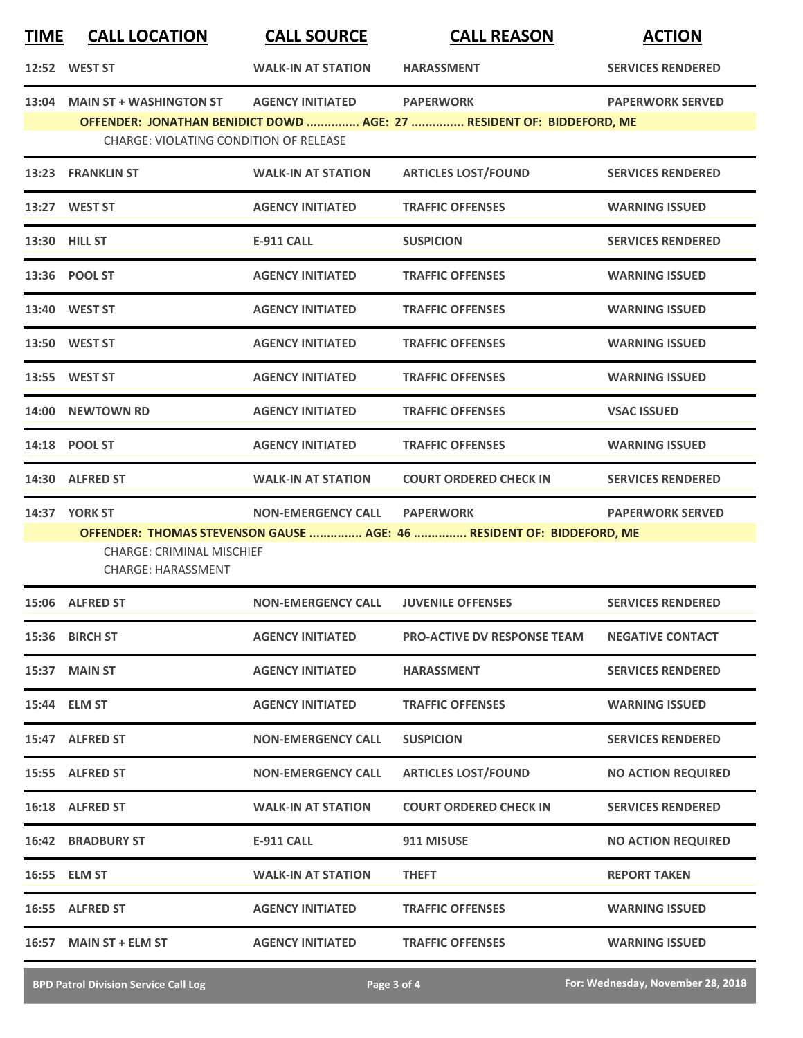| <u>TIME</u>   | <b>CALL LOCATION</b>                                                                  | <b>CALL SOURCE</b>        | <b>CALL REASON</b>                                                                        | <b>ACTION</b>             |
|---------------|---------------------------------------------------------------------------------------|---------------------------|-------------------------------------------------------------------------------------------|---------------------------|
|               | 12:52 WEST ST                                                                         | <b>WALK-IN AT STATION</b> | <b>HARASSMENT</b>                                                                         | <b>SERVICES RENDERED</b>  |
|               | 13:04 MAIN ST + WASHINGTON ST<br><b>CHARGE: VIOLATING CONDITION OF RELEASE</b>        | <b>AGENCY INITIATED</b>   | <b>PAPERWORK</b><br>OFFENDER: JONATHAN BENIDICT DOWD  AGE: 27  RESIDENT OF: BIDDEFORD, ME | <b>PAPERWORK SERVED</b>   |
|               | 13:23 FRANKLIN ST                                                                     | <b>WALK-IN AT STATION</b> | <b>ARTICLES LOST/FOUND</b>                                                                | <b>SERVICES RENDERED</b>  |
|               | 13:27 WEST ST                                                                         | <b>AGENCY INITIATED</b>   | <b>TRAFFIC OFFENSES</b>                                                                   | <b>WARNING ISSUED</b>     |
| 13:30 HILL ST |                                                                                       | <b>E-911 CALL</b>         | <b>SUSPICION</b>                                                                          | <b>SERVICES RENDERED</b>  |
|               | 13:36 POOL ST                                                                         | <b>AGENCY INITIATED</b>   | <b>TRAFFIC OFFENSES</b>                                                                   | <b>WARNING ISSUED</b>     |
|               | 13:40 WEST ST                                                                         | <b>AGENCY INITIATED</b>   | <b>TRAFFIC OFFENSES</b>                                                                   | <b>WARNING ISSUED</b>     |
|               | 13:50 WEST ST                                                                         | <b>AGENCY INITIATED</b>   | <b>TRAFFIC OFFENSES</b>                                                                   | <b>WARNING ISSUED</b>     |
|               | 13:55 WEST ST                                                                         | <b>AGENCY INITIATED</b>   | <b>TRAFFIC OFFENSES</b>                                                                   | <b>WARNING ISSUED</b>     |
|               | 14:00 NEWTOWN RD                                                                      | <b>AGENCY INITIATED</b>   | <b>TRAFFIC OFFENSES</b>                                                                   | <b>VSAC ISSUED</b>        |
|               | 14:18 POOL ST                                                                         | <b>AGENCY INITIATED</b>   | <b>TRAFFIC OFFENSES</b>                                                                   | <b>WARNING ISSUED</b>     |
|               | 14:30 ALFRED ST                                                                       | <b>WALK-IN AT STATION</b> | <b>COURT ORDERED CHECK IN</b>                                                             | <b>SERVICES RENDERED</b>  |
|               | <b>14:37 YORK ST</b><br><b>CHARGE: CRIMINAL MISCHIEF</b><br><b>CHARGE: HARASSMENT</b> | <b>NON-EMERGENCY CALL</b> | <b>PAPERWORK</b><br>OFFENDER: THOMAS STEVENSON GAUSE  AGE: 46  RESIDENT OF: BIDDEFORD, ME | <b>PAPERWORK SERVED</b>   |
|               | 15:06 ALFRED ST                                                                       | <b>NON-EMERGENCY CALL</b> | <b>JUVENILE OFFENSES</b>                                                                  | <b>SERVICES RENDERED</b>  |
|               | 15:36 BIRCH ST                                                                        | <b>AGENCY INITIATED</b>   | <b>PRO-ACTIVE DV RESPONSE TEAM</b>                                                        | <b>NEGATIVE CONTACT</b>   |
|               | 15:37 MAIN ST                                                                         | <b>AGENCY INITIATED</b>   | <b>HARASSMENT</b>                                                                         | <b>SERVICES RENDERED</b>  |
|               | 15:44 ELM ST                                                                          | <b>AGENCY INITIATED</b>   | <b>TRAFFIC OFFENSES</b>                                                                   | <b>WARNING ISSUED</b>     |
|               | 15:47 ALFRED ST                                                                       | <b>NON-EMERGENCY CALL</b> | <b>SUSPICION</b>                                                                          | <b>SERVICES RENDERED</b>  |
|               | 15:55 ALFRED ST                                                                       | <b>NON-EMERGENCY CALL</b> | <b>ARTICLES LOST/FOUND</b>                                                                | <b>NO ACTION REQUIRED</b> |
|               | 16:18 ALFRED ST                                                                       | <b>WALK-IN AT STATION</b> | <b>COURT ORDERED CHECK IN</b>                                                             | <b>SERVICES RENDERED</b>  |
|               | <b>16:42 BRADBURY ST</b>                                                              | <b>E-911 CALL</b>         | 911 MISUSE                                                                                | <b>NO ACTION REQUIRED</b> |
|               | 16:55 ELM ST                                                                          | <b>WALK-IN AT STATION</b> | <b>THEFT</b>                                                                              | <b>REPORT TAKEN</b>       |
|               | 16:55 ALFRED ST                                                                       | <b>AGENCY INITIATED</b>   | <b>TRAFFIC OFFENSES</b>                                                                   | <b>WARNING ISSUED</b>     |
|               | 16:57 MAIN ST + ELM ST                                                                | <b>AGENCY INITIATED</b>   | <b>TRAFFIC OFFENSES</b>                                                                   | <b>WARNING ISSUED</b>     |

**BPD Patrol Division Service Call Log Page 3 of 4 Page 3 of 4 For: Wednesday, November 28, 2018**